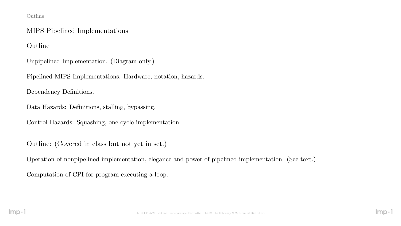#### Outline

## MIPS Pipelined Implementations

Outline

Unpipelined Implementation. (Diagram only.)

Pipelined MIPS Implementations: Hardware, notation, hazards.

Dependency Definitions.

Data Hazards: Definitions, stalling, bypassing.

Control Hazards: Squashing, one-cycle implementation.

Outline: (Covered in class but not yet in set.)

Operation of nonpipelined implementation, elegance and power of pipelined implementation. (See text.)

Computation of CPI for program executing a loop.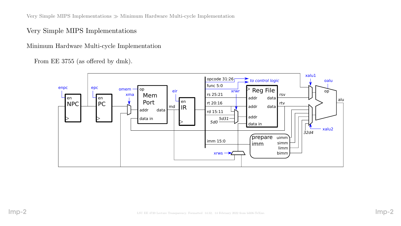Very Simple MIPS Implementations  $\gg$  Minimum Hardware Multi-cycle Implementation

Very Simple MIPS Implementations

Minimum Hardware Multi-cycle Implementation

From EE 3755 (as offered by dmk).

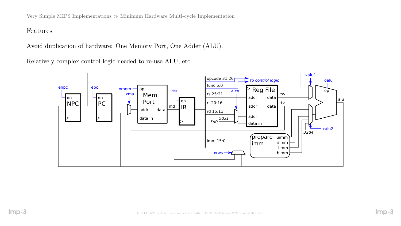Very Simple MIPS Implementations  $\gg$  Minimum Hardware Multi-cycle Implementation

#### Features

Avoid duplication of hardware: One Memory Port, One Adder (ALU).

Relatively complex control logic needed to re-use ALU, etc.

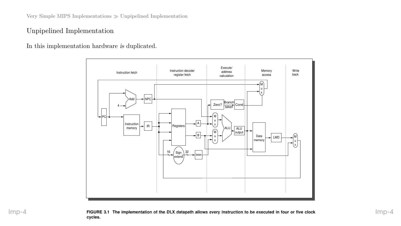Very Simple MIPS Implementations  $\gg$  Unpipelined Implementation

## Unpipelined Implementation

In this implementation hardware is duplicated.

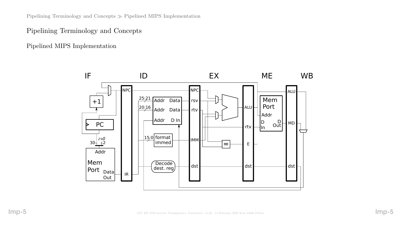Pipelining Terminology and Concepts  $\gg$  Pipelined MIPS Implementation

### Pipelining Terminology and Concepts

Pipelined MIPS Implementation

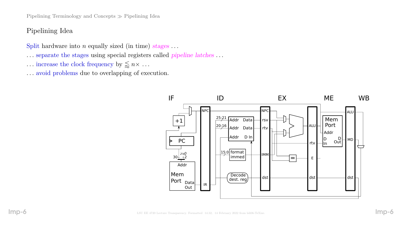Pipelining Terminology and Concepts  $\gg$  Pipelining Idea

## Pipelining Idea

Split hardware into  $n$  equally sized (in time) stages ...

- . . . separate the stages using special registers called pipeline latches . . .
- $\ldots$  increase the clock frequency by  $\lessapprox n \times \ldots$
- . . . avoid problems due to overlapping of execution.

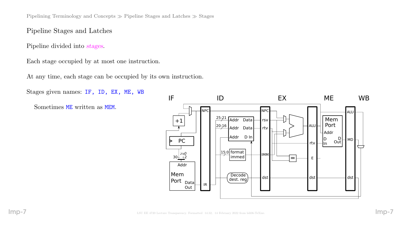Pipelining Terminology and Concepts  $\gg$  Pipeline Stages and Latches  $\gg$  Stages

## Pipeline Stages and Latches

Pipeline divided into stages.

Each stage occupied by at most one instruction.

At any time, each stage can be occupied by its own instruction.

Stages given names: IF, ID, EX, ME, WB Sometimes ME written as MEM. IR  $25:21$  Addr Data  $\frac{20:16}{ }$  Addr Data $\begin{array}{|c|c|c|c|c|}\hline \end{array}$ rtv $\begin{array}{|c|c|c|c|}\hline \end{array}$   $\begin{array}{|c|c|c|c|}\hline \end{array}$   $\begin{array}{|c|c|c|c|}\hline \end{array}$ IF ID EX ME WB rsv rtv IMM NPC Addr D In +1 Mem Port Addr Data Out Addr D  $\mathsf{I}$ In Mem Port rtv  $\Box$ in Out ALU  $-$  MD  $\overline{Decode}$  dst dst dst dst dst dest. reg NPC  $30 + \frac{2^{b}0}{+2}$ PC 15:0 2'b0 format D dst dst E  $\frac{1}{\sqrt{1-\frac{1}{2}}}\sqrt{1-\frac{1}{2}}$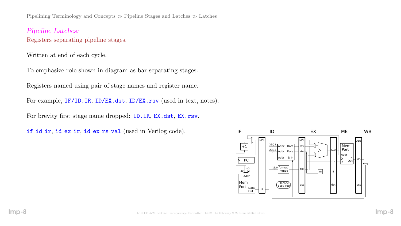Pipelining Terminology and Concepts  $\gg$  Pipeline Stages and Latches  $\gg$  Latches

Pipeline Latches: Registers separating pipeline stages.

Written at end of each cycle.

To emphasize role shown in diagram as bar separating stages.

Registers named using pair of stage names and register name.

For example, IF/ID.IR, ID/EX.dst, ID/EX.rsv (used in text, notes).

For brevity first stage name dropped: ID.IR, EX.dst, EX.rsv.

if id ir, id ex ir, id ex rs val (used in Verilog code).

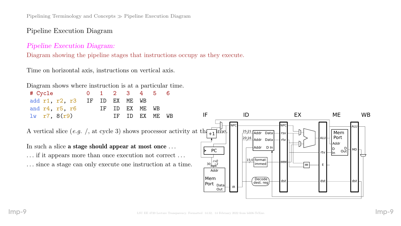Pipelining Terminology and Concepts Pipeline Execution Diagram

## Pipeline Execution Diagram

### Pipeline Execution Diagram:

Diagram showing the pipeline stages that instructions occupy as they execute.

Time on horizontal axis, instructions on vertical axis.

|  | Diagram shows where instruction is at a particular time. |  |  |  |
|--|----------------------------------------------------------|--|--|--|
|  |                                                          |  |  |  |

| # Cycle                                                                                                                                                                                                                                                            |    |    | $\overline{2}$ | 3  | $\overline{4}$ |    | 6  |                                      |                                                                                             |                                                     |                                  |           |
|--------------------------------------------------------------------------------------------------------------------------------------------------------------------------------------------------------------------------------------------------------------------|----|----|----------------|----|----------------|----|----|--------------------------------------|---------------------------------------------------------------------------------------------|-----------------------------------------------------|----------------------------------|-----------|
| add r1, r2, r3                                                                                                                                                                                                                                                     | IF | ID | EX             | ME | WB             |    |    |                                      |                                                                                             |                                                     |                                  |           |
| and r4, r5, r6                                                                                                                                                                                                                                                     |    | IF | ID             | EX | ME             | WB |    |                                      |                                                                                             |                                                     |                                  |           |
| $lw$ r7, $8(r9)$                                                                                                                                                                                                                                                   |    |    | ΙF             | ID | EX             | ME | WB | IF                                   | ID                                                                                          | EX                                                  | <b>ME</b>                        | <b>WB</b> |
| A vertical slice (e.g. /, at cycle 3) shows processor activity at th $\frac{1}{1+1}$ ime.<br>In such a slice a stage should appear at most once<br>if it appears more than once execution not correct<br>since a stage can only execute one instruction at a time. |    |    |                |    |                |    |    | <b>PC</b><br>$30^{2b0}_{+2}$<br>Addr | -INPO<br>$25:21$ Addr Data<br>$\sqrt{20:16}$ Addr Data<br>Addr D In<br>15:0 format<br>immed | <b>NPC</b><br>rsv l<br>I ALU<br>rtv l<br><b>IMM</b> | Mem<br>Port<br>Addr<br>DI<br>Out |           |
|                                                                                                                                                                                                                                                                    |    |    |                |    |                |    |    | Mem                                  | Decode<br>doct ron                                                                          | dst                                                 |                                  | dst       |

IR

dest. reg

Port <sub>Data</sub>

Out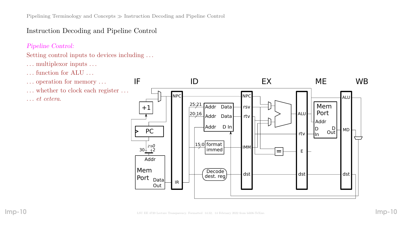# Instruction Decoding and Pipeline Control

### Pipeline Control:

## Setting control inputs to devices including . . .

- . . . multiplexor inputs . . .
- . . . function for ALU . . .
- . . . operation for memory . . .
- . . . whether to clock each register . . . . . . et cetera.

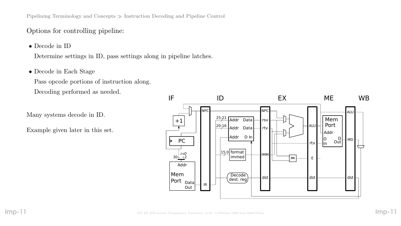Pipelining Terminology and Concepts Instruction Decoding and Pipeline Control

## Options for controlling pipeline:

• Decode in ID

Determine settings in ID, pass settings along in pipeline latches.

• Decode in Each Stage

Pass opcode portions of instruction along. Decoding performed as needed.

Many systems decode in ID.

Example given later in this set.

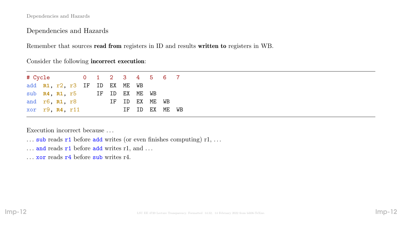Dependencies and Hazards

Dependencies and Hazards

Remember that sources read from registers in ID and results written to registers in WB.

Consider the following incorrect execution:

| # Cycle 0 1 2 3 4 5 6 7       |  |  |  |                |  |                |  |
|-------------------------------|--|--|--|----------------|--|----------------|--|
| add R1, r2, r3 IF ID EX ME WB |  |  |  |                |  |                |  |
| sub $R4$ , $R1$ , $r5$        |  |  |  | IF ID EX ME WB |  |                |  |
| and $r6$ , $R1$ , $r8$        |  |  |  | IF ID EX ME WB |  |                |  |
| xor r9, R4, r11               |  |  |  |                |  | IF ID EX ME WB |  |

Execution incorrect because . . .

- ... sub reads  $r1$  before add writes (or even finishes computing)  $r1, \ldots$
- $\ldots$  and reads  $r1$  before add writes r1, and  $\ldots$
- ... **xor** reads **r**4 before sub writes r4.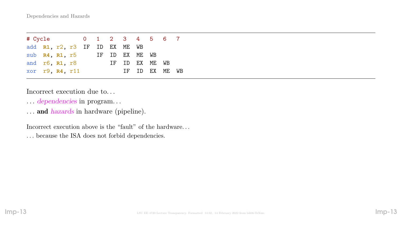| # Cycle 0 1 2 3 4 5 6 7       |  |  |  |                |  |                |  |
|-------------------------------|--|--|--|----------------|--|----------------|--|
| add R1, r2, r3 IF ID EX ME WB |  |  |  |                |  |                |  |
| sub $R4$ , $R1$ , $r5$        |  |  |  | IF ID EX ME WB |  |                |  |
| and r6, R1, r8                |  |  |  | IF ID EX ME WB |  |                |  |
| xor r9, R4, r11               |  |  |  |                |  | IF ID EX ME WB |  |

Incorrect execution due to. . .

- . . . dependencies in program. . .
- ... and hazards in hardware (pipeline).

Incorrect execution above is the "fault" of the hardware. . . . . . because the ISA does not forbid dependencies.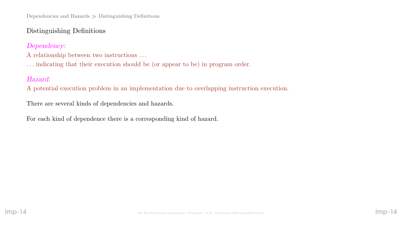# Distinguishing Definitions

Dependency:

- A relationship between two instructions . . .
- . . . indicating that their execution should be (or appear to be) in program order.

# Hazard:

A potential execution problem in an implementation due to overlapping instruction execution.

There are several kinds of dependencies and hazards.

For each kind of dependence there is a corresponding kind of hazard.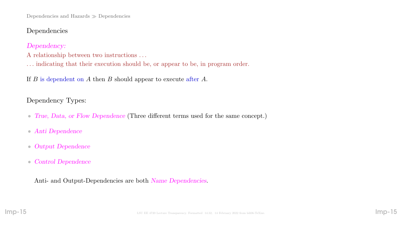Dependencies and Hazards  $\gg$  Dependencies

## Dependencies

Dependency:

A relationship between two instructions . . .

. . . indicating that their execution should be, or appear to be, in program order.

If  $B$  is dependent on  $A$  then  $B$  should appear to execute after  $A$ .

Dependency Types:

- True, Data, or Flow Dependence (Three different terms used for the same concept.)
- Anti Dependence
- Output Dependence
- Control Dependence

Anti- and Output-Dependencies are both Name Dependencies.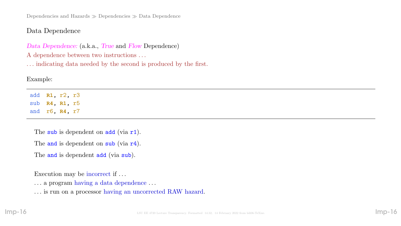Dependencies and Hazards  $\gg$  Dependencies  $\gg$  Data Dependence

## Data Dependence

Data Dependence: (a.k.a., True and Flow Dependence) A dependence between two instructions . . .

. . . indicating data needed by the second is produced by the first.

## Example:

add **R1**, r2, r3 sub **R4**, **R1**, r5 and r6, **R4**, r7

The sub is dependent on  $add$  (via  $r1$ ).

The and is dependent on sub (via r4).

The and is dependent add (via sub).

Execution may be incorrect if . . .

. . . a program having a data dependence . . .

. . . is run on a processor having an uncorrected RAW hazard.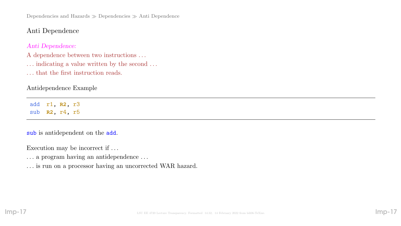Dependencies and Hazards  $\gg$  Dependencies  $\gg$  Anti Dependence

## Anti Dependence

#### Anti Dependence:

A dependence between two instructions . . .

- $\ldots$  indicating a value written by the second  $\ldots$
- . . . that the first instruction reads.

#### Antidependence Example

add r1, **R2**, r3 sub **R2**, r4, r5

#### sub is antidependent on the add.

Execution may be incorrect if . . .

- . . . a program having an antidependence . . .
- . . . is run on a processor having an uncorrected WAR hazard.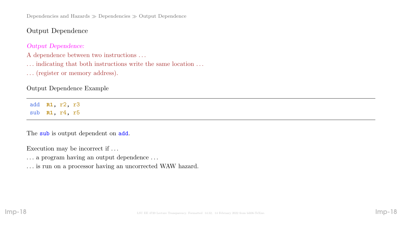Dependencies and Hazards  $\gg$  Dependencies  $\gg$  Output Dependence

Output Dependence

Output Dependence:

A dependence between two instructions . . .

 $\ldots$  indicating that both instructions write the same location  $\ldots$ 

. . . (register or memory address).

Output Dependence Example

add **R1**, r2, r3 sub **R1**, r4, r5

The sub is output dependent on add.

Execution may be incorrect if . . .

. . . a program having an output dependence . . .

. . . is run on a processor having an uncorrected WAW hazard.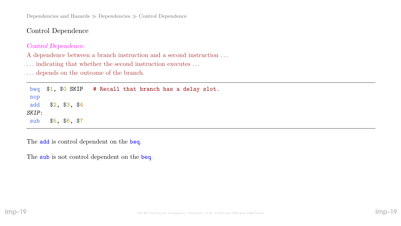Dependencies and Hazards  $\gg$  Dependencies  $\gg$  Control Dependence

Control Dependence

#### Control Dependence:

A dependence between a branch instruction and a second instruction . . .

 $\ldots$  indicating that whether the second instruction executes  $\ldots$ 

. . . depends on the outcome of the branch.

beq \$1, \$0 SKIP # Recall that branch has a delay slot. nop add \$2, \$3, \$4 SKIP: sub \$5, \$6, \$7

The **add** is control dependent on the **beq**.

The sub is not control dependent on the beq.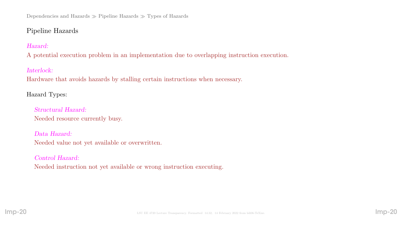# Pipeline Hazards

## Hazard:

A potential execution problem in an implementation due to overlapping instruction execution.

## Interlock:

Hardware that avoids hazards by stalling certain instructions when necessary.

# Hazard Types:

Structural Hazard: Needed resource currently busy.

## Data Hazard: Needed value not yet available or overwritten.

# Control Hazard: Needed instruction not yet available or wrong instruction executing.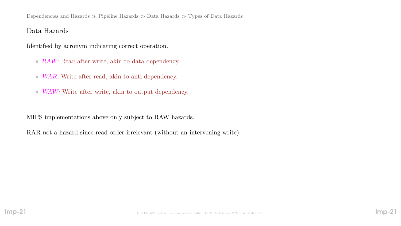## Data Hazards

Identified by acronym indicating correct operation.

- RAW: Read after write, akin to data dependency.
- WAR: Write after read, akin to anti dependency.
- WAW: Write after write, akin to output dependency.

MIPS implementations above only subject to RAW hazards.

RAR not a hazard since read order irrelevant (without an intervening write).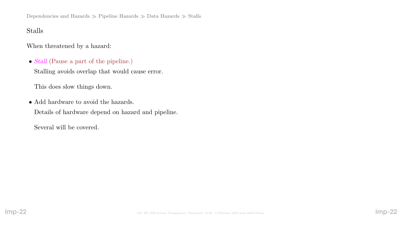Dependencies and Hazards  $\gg$  Pipeline Hazards  $\gg$  Data Hazards  $\gg$  Stalls

## Stalls

When threatened by a hazard:

• Stall (Pause a part of the pipeline.)

Stalling avoids overlap that would cause error.

This does slow things down.

• Add hardware to avoid the hazards. Details of hardware depend on hazard and pipeline.

Several will be covered.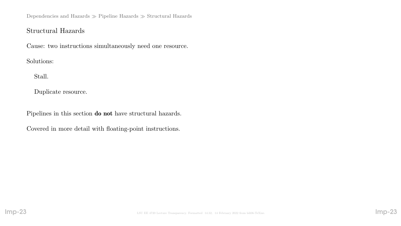Dependencies and Hazards  $\gg$  Pipeline Hazards  $\gg$  Structural Hazards

## Structural Hazards

Cause: two instructions simultaneously need one resource.

Solutions:

Stall.

Duplicate resource.

Pipelines in this section do not have structural hazards.

Covered in more detail with floating-point instructions.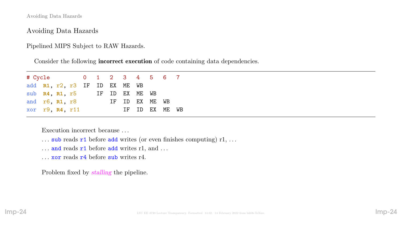Avoiding Data Hazards

Avoiding Data Hazards

Pipelined MIPS Subject to RAW Hazards.

Consider the following incorrect execution of code containing data dependencies.

| # Cycle 0 1 2 3 4 5 6 7       |  |  |  |                |  |                |  |
|-------------------------------|--|--|--|----------------|--|----------------|--|
| add R1, r2, r3 IF ID EX ME WB |  |  |  |                |  |                |  |
| sub R4, R1, r5 IF ID EX ME WB |  |  |  |                |  |                |  |
| and r6, R1, r8                |  |  |  | IF ID EX ME WB |  |                |  |
| xor r9, R4, r11               |  |  |  |                |  | IF ID EX ME WB |  |

Execution incorrect because . . .

- $\ldots$  sub reads r1 before add writes (or even finishes computing) r1,  $\ldots$
- $\ldots$  and reads  $r1$  before add writes r1, and  $\ldots$
- . . . xor reads r4 before sub writes r4.

Problem fixed by stalling the pipeline.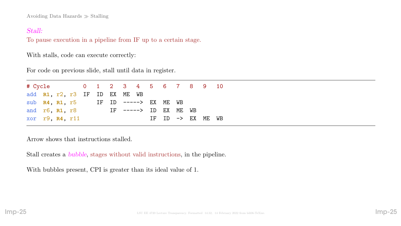Avoiding Data Hazards  $\gg$  Stalling

#### Stall:

To pause execution in a pipeline from IF up to a certain stage.

With stalls, code can execute correctly:

For code on previous slide, stall until data in register.

| # Cycle 0 1 2 3 4 5 6 7 8 9 10               |  |  |  |  |  |                              |  |  |
|----------------------------------------------|--|--|--|--|--|------------------------------|--|--|
| add R1, r2, r3 IF ID EX ME WB                |  |  |  |  |  |                              |  |  |
| sub $R4$ , $R1$ , $r5$ IF ID -----> EX ME WB |  |  |  |  |  |                              |  |  |
| and $r6$ , $r8$ IF ----> ID EX ME WB         |  |  |  |  |  |                              |  |  |
| xor $r9$ , $R4$ , $r11$                      |  |  |  |  |  | IF ID $\rightarrow$ EX ME WB |  |  |

Arrow shows that instructions stalled.

Stall creates a bubble, stages without valid instructions, in the pipeline.

With bubbles present, CPI is greater than its ideal value of 1.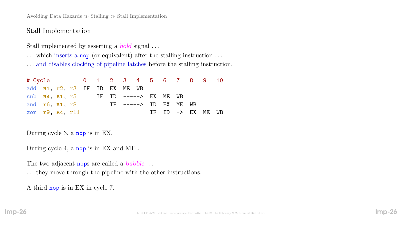Avoiding Data Hazards  $\gg$  Stalling  $\gg$  Stall Implementation

Stall Implementation

Stall implemented by asserting a hold signal . . .

... which inserts a nop (or equivalent) after the stalling instruction ...

. . . and disables clocking of pipeline latches before the stalling instruction.

# Cycle 0 1 2 3 4 5 6 7 8 9 10 add **R1**, r2, r3 IF ID EX ME WB sub **R4**, **R1**, r5 IF ID -----> EX ME WB and r6, **R1**, r8 IF -----> ID EX ME WB xor r9, R4, r11 IF ID -> EX ME WB

During cycle 3, a nop is in EX.

During cycle 4, a nop is in EX and ME .

The two adjacent nops are called a *bubble* ...

. . . they move through the pipeline with the other instructions.

A third nop is in EX in cycle 7.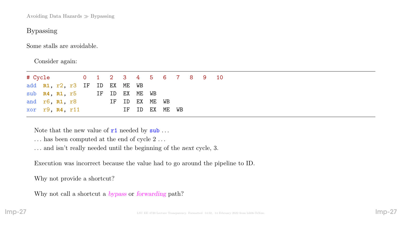Avoiding Data Hazards  $\gg$  Bypassing

## Bypassing

Some stalls are avoidable.

Consider again:

| # Cycle 0 1 2 3 4 5 6 7 8 9 10 |  |  |  |                |  |  |  |
|--------------------------------|--|--|--|----------------|--|--|--|
| add R1, r2, r3 IF ID EX ME WB  |  |  |  |                |  |  |  |
| sub R4, R1, r5 IF ID EX ME WB  |  |  |  |                |  |  |  |
| and $r6$ , $R1$ , $r8$         |  |  |  | IF ID EX ME WB |  |  |  |
| xor r9, R4, r11                |  |  |  | IF ID EX ME WB |  |  |  |

Note that the new value of  $r1$  needed by  $\textsf{sub} \dots$ 

- $\ldots$  has been computed at the end of cycle  $2\,\ldots$
- . . . and isn't really needed until the beginning of the next cycle, 3.

Execution was incorrect because the value had to go around the pipeline to ID.

Why not provide a shortcut?

Why not call a shortcut a bypass or forwarding path?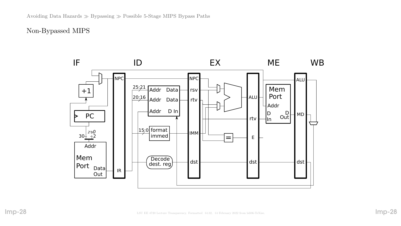## Non-Bypassed MIPS

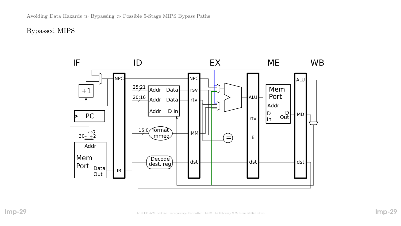Bypassed MIPS

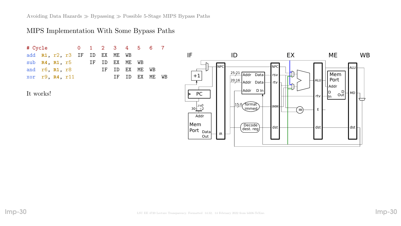Avoiding Data Hazards  $\gg$  Bypassing  $\gg$  Possible 5-Stage MIPS Bypass Paths

### MIPS Implementation With Some Bypass Paths

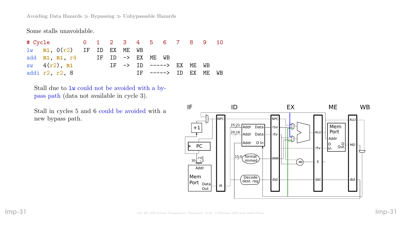Avoiding Data Hazards  $\gg$  Bypassing  $\gg$  Unbypassable Hazards

Some stalls unavoidable.

# Cycle 0 1 2 3 4 5 6 7 8 9 10 lw **R1**, 0(r2) IF ID EX ME WB add **R1**, **R1**, r4 IF ID -> EX ME WB sw 4(r2), R1 IF -> ID -----> EX ME WB addi r2, r2, 8 1F -----> ID EX ME WB

Stall due to lw could not be avoided with a bypass path (data not available in cycle 3).

Stall in cycles 5 and 6 could be avoided with a new bypass path.

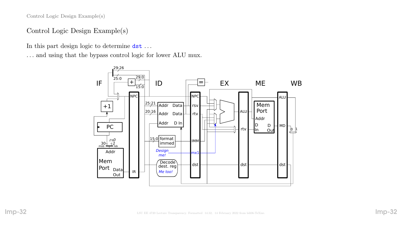Control Logic Design Example(s)

## Control Logic Design Example(s)

In this part design logic to determine dst . . .

. . . and using that the bypass control logic for lower ALU mux.

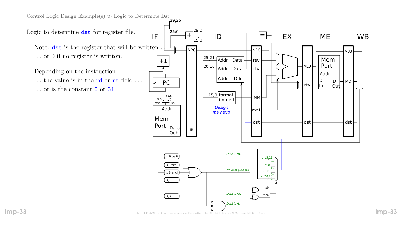Control Logic Design Example(s)  $\gg$  Logic to Determine Dst

Logic to determine dst for register file.

Note:  $\det$  is the register that will be written. . . . or 0 if no register is written.

Depending on the instruction . . . ... the value is in the **rd** or **rt** field ... . . . or is the constant 0 or 31.

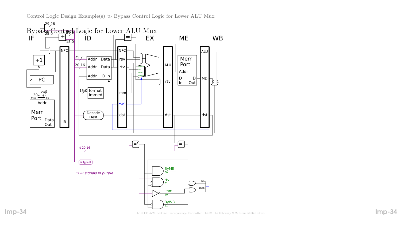Control Logic Design Example(s)  $\gg$  Bypass Control Logic for Lower ALU Mux



Imp-34 LSU EE 4720 Lecture Transparency. Formatted 14:32, 14 February 2022 from Isli06-TeXize.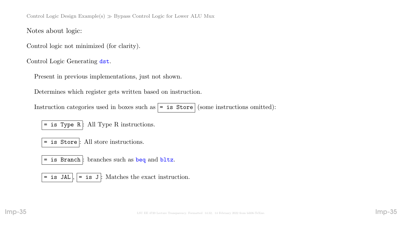Control Logic Design Example(s)  $\gg$  Bypass Control Logic for Lower ALU Mux

Notes about logic:

Control logic not minimized (for clarity).

Control Logic Generating dst.

Present in previous implementations, just not shown.

Determines which register gets written based on instruction.

Instruction categories used in boxes such as  $| =$  is Store (some instructions omitted):

 $=$  is Type R  $:$  All Type R instructions.

= is Store : All store instructions.

= is Branch : branches such as beq and bltz.

= is JAL  $\vert \cdot \vert$  = is J : Matches the exact instruction.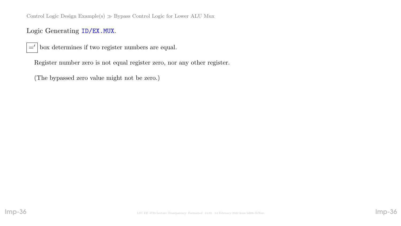Control Logic Design Example(s)  $\gg$  Bypass Control Logic for Lower ALU Mux

Logic Generating ID/EX.MUX.

 $=$ ' box determines if two register numbers are equal.

Register number zero is not equal register zero, nor any other register.

(The bypassed zero value might not be zero.)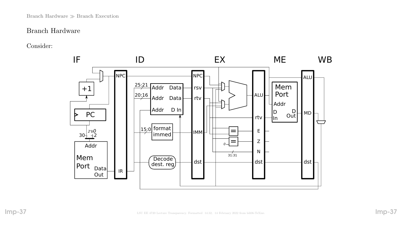#### Branch Hardware  $\gg$  Branch Execution

### Branch Hardware

Consider:

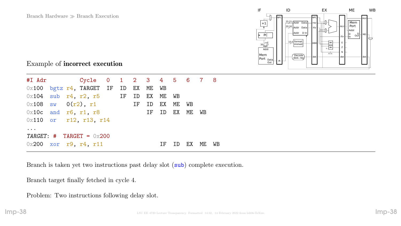

## Example of incorrect execution

|                        |  | $0x100$ bgtz $r4$ , TARGET IF ID EX ME WB     |  |  |    |    |    |       |  |
|------------------------|--|-----------------------------------------------|--|--|----|----|----|-------|--|
|                        |  | $0x104$ sub $r4$ , $r2$ , $r5$ IF ID EX ME WB |  |  |    |    |    |       |  |
|                        |  | $0 \times 108$ sw $0(r2)$ , r1 IF ID EX ME WB |  |  |    |    |    |       |  |
| $0x10c$ and r6, r1, r8 |  |                                               |  |  |    |    |    | WB    |  |
|                        |  | $0x110$ or r12, r13, r14                      |  |  |    |    |    |       |  |
| $\ddot{\phantom{0}}$   |  |                                               |  |  |    |    |    |       |  |
|                        |  | TARGET: # TARGET = $0x200$                    |  |  |    |    |    |       |  |
|                        |  | $0x200$ xor r9, r4, r11                       |  |  | ΙF | ID | EX | ME WB |  |

Branch is taken yet two instructions past delay slot (sub) complete execution.

Branch target finally fetched in cycle 4.

Problem: Two instructions following delay slot.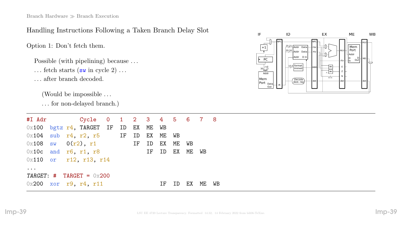# Handling Instructions Following a Taken Branch Delay Slot

Option 1: Don't fetch them.

Possible (with pipelining) because ...

... fetch starts  $(\mathbf{sw}\text{ in cycle }2)$  ...

. . . after branch decoded.

(Would be impossible . . .

. . . for non-delayed branch.)

|                                   |                        | $0x100$ bgtz $r4$ , TARGET IF ID EX ME WB     |  |    |    |    |           |             |    |    |
|-----------------------------------|------------------------|-----------------------------------------------|--|----|----|----|-----------|-------------|----|----|
|                                   |                        | $0x104$ sub $r4$ , $r2$ , $r5$ IF ID EX ME WB |  |    |    |    |           |             |    |    |
|                                   |                        | $0x108$ sw $0(r2)$ , r1                       |  | IF | ID | EX | ME WB     |             |    |    |
|                                   | $0x10c$ and r6, r1, r8 |                                               |  |    | IF |    |           | ID EX ME WB |    |    |
|                                   |                        | 0x110 or r12, r13, r14                        |  |    |    |    |           |             |    |    |
| $\bullet\quad\bullet\quad\bullet$ |                        |                                               |  |    |    |    |           |             |    |    |
|                                   |                        | TARGET: $\#$ TARGET = 0x200                   |  |    |    |    |           |             |    |    |
|                                   |                        | $0x200$ xor r9, r4, r11                       |  |    |    | ΙF | <b>ID</b> | EX          | ME | WB |

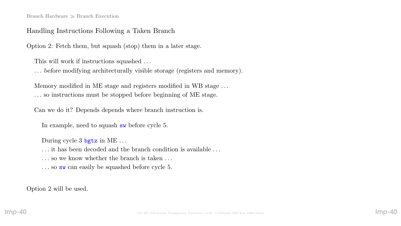#### Branch Hardware  $\gg$  Branch Execution

#### Handling Instructions Following a Taken Branch

Option 2: Fetch them, but squash (stop) them in a later stage.

This will work if instructions squashed . . .

. . . before modifying architecturally visible storage (registers and memory).

Memory modified in ME stage and registers modified in WB stage . . . . . . so instructions must be stopped before beginning of ME stage.

Can we do it? Depends depends where branch instruction is.

In example, need to squash sw before cycle 5.

During cycle 3 bgtz in ME ...

. . . it has been decoded and the branch condition is available . . .

... so we know whether the branch is taken ...

... so sw can easily be squashed before cycle 5.

Option 2 will be used.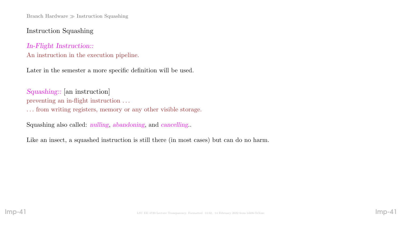# Instruction Squashing

# In-Flight Instruction:: An instruction in the execution pipeline.

Later in the semester a more specific definition will be used.

Squashing:: [an instruction] preventing an in-flight instruction . . .

. . . from writing registers, memory or any other visible storage.

Squashing also called: nulling, abandoning, and cancelling..

Like an insect, a squashed instruction is still there (in most cases) but can do no harm.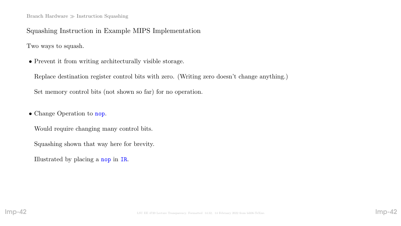Squashing Instruction in Example MIPS Implementation

Two ways to squash.

• Prevent it from writing architecturally visible storage.

Replace destination register control bits with zero. (Writing zero doesn't change anything.)

Set memory control bits (not shown so far) for no operation.

• Change Operation to nop.

Would require changing many control bits.

Squashing shown that way here for brevity.

Illustrated by placing a nop in IR.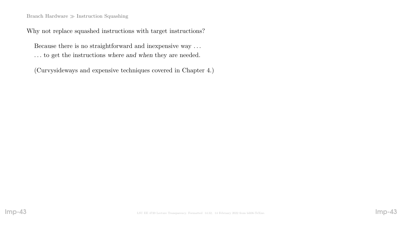#### Branch Hardware  $\gg$  Instruction Squashing

Why not replace squashed instructions with target instructions?

Because there is no straightforward and inexpensive way . . . . . . to get the instructions where and when they are needed.

(Curvysideways and expensive techniques covered in Chapter 4.)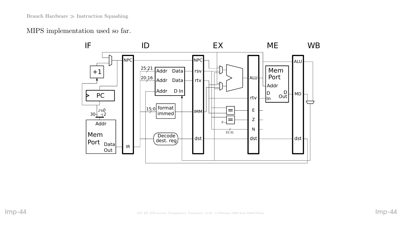MIPS implementation used so far.

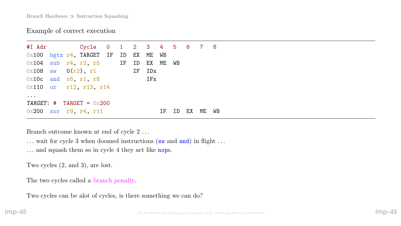## Example of correct execution

#I Adr Cycle 0 1 2 3 4 5 6 7 8 0x100 bgtz r4, TARGET IF ID EX ME WB  $0x104$  sub  $r4$ ,  $r2$ ,  $r5$  IF ID EX ME WB  $0 \times 108$  sw  $0(r2)$ , r1 IF IDx  $0x10c$  and r6, r1, r8 IFx 0x110 or r12, r13, r14 ... TARGET:  $\#$  TARGET = 0x200  $0x200$  xor r9, r4, r11 IF ID EX ME WB

Branch outcome known at end of cycle 2 . . .

... wait for cycle 3 when doomed instructions (sw and and) in flight ...

... and squash them so in cycle 4 they act like nops.

Two cycles (2, and 3), are lost.

The two cycles called a *branch penalty*.

Two cycles can be alot of cycles, is there something we can do?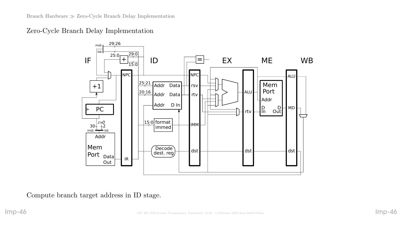Zero-Cycle Branch Delay Implementation



Compute branch target address in ID stage.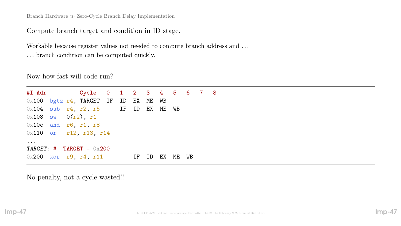Branch Hardware  $\gg$  Zero-Cycle Branch Delay Implementation

Compute branch target and condition in ID stage.

Workable because register values not needed to compute branch address and . . . . . . branch condition can be computed quickly.

Now how fast will code run?

#I Adr Cycle 0 1 2 3 4 5 6 7 8  $0x100$  bgtz  $r4$ , TARGET IF ID EX ME WB  $0x104$  sub  $r4$ ,  $r2$ ,  $r5$  IF ID EX ME WB  $0x108$  sw  $0(r2)$ , r1 0x10c and r6, r1, r8 0x110 or r12, r13, r14 ...  $TARGE: # TARGE = 0 \times 200$  $0x200$  xor r9, r4, r11 IF ID EX ME WB

No penalty, not a cycle wasted!!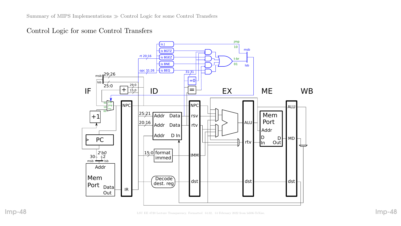Control Logic for some Control Transfers

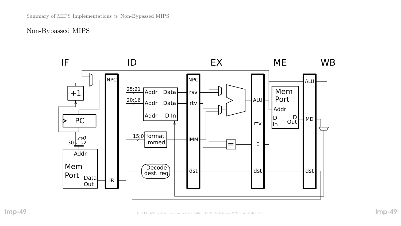## Non-Bypassed MIPS

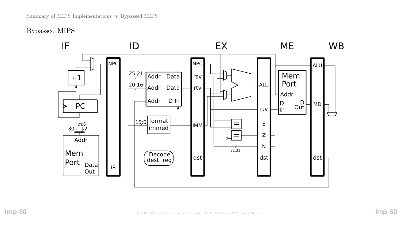Bypassed MIPS